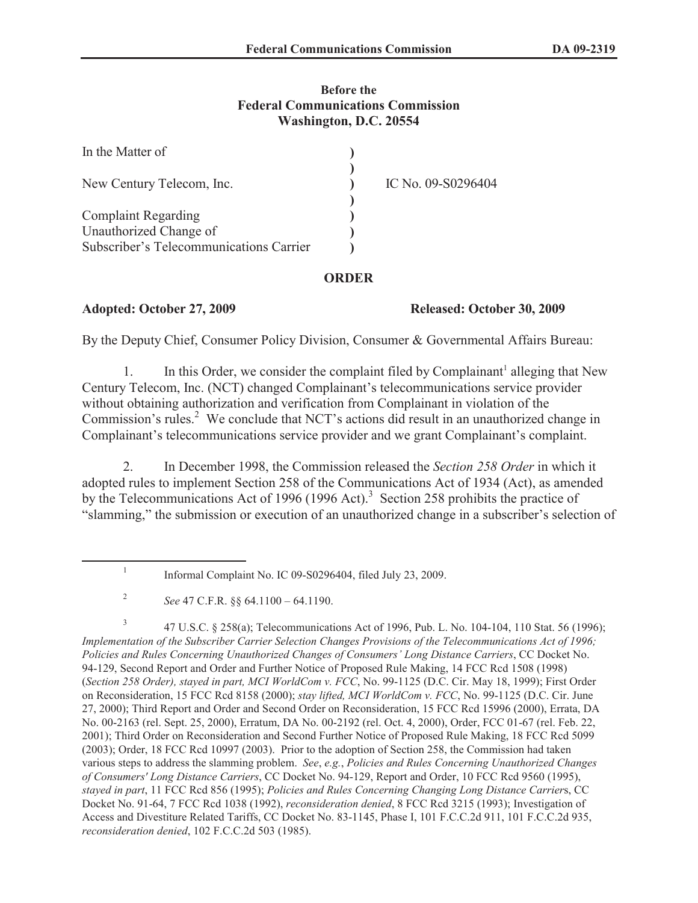# **Before the Federal Communications Commission Washington, D.C. 20554**

| In the Matter of                                     |                    |
|------------------------------------------------------|--------------------|
| New Century Telecom, Inc.                            | IC No. 09-S0296404 |
| <b>Complaint Regarding</b><br>Unauthorized Change of |                    |
| Subscriber's Telecommunications Carrier              |                    |

# **ORDER**

### **Adopted: October 27, 2009 Released: October 30, 2009**

By the Deputy Chief, Consumer Policy Division, Consumer & Governmental Affairs Bureau:

1. In this Order, we consider the complaint filed by Complainant<sup>1</sup> alleging that New Century Telecom, Inc. (NCT) changed Complainant's telecommunications service provider without obtaining authorization and verification from Complainant in violation of the Commission's rules.<sup>2</sup> We conclude that NCT's actions did result in an unauthorized change in Complainant's telecommunications service provider and we grant Complainant's complaint.

2. In December 1998, the Commission released the *Section 258 Order* in which it adopted rules to implement Section 258 of the Communications Act of 1934 (Act), as amended by the Telecommunications Act of 1996 (1996 Act).<sup>3</sup> Section 258 prohibits the practice of "slamming," the submission or execution of an unauthorized change in a subscriber's selection of

3 47 U.S.C. § 258(a); Telecommunications Act of 1996, Pub. L. No. 104-104, 110 Stat. 56 (1996); *Implementation of the Subscriber Carrier Selection Changes Provisions of the Telecommunications Act of 1996; Policies and Rules Concerning Unauthorized Changes of Consumers' Long Distance Carriers*, CC Docket No. 94-129, Second Report and Order and Further Notice of Proposed Rule Making, 14 FCC Rcd 1508 (1998) (*Section 258 Order), stayed in part, MCI WorldCom v. FCC*, No. 99-1125 (D.C. Cir. May 18, 1999); First Order on Reconsideration, 15 FCC Rcd 8158 (2000); *stay lifted, MCI WorldCom v. FCC*, No. 99-1125 (D.C. Cir. June 27, 2000); Third Report and Order and Second Order on Reconsideration, 15 FCC Rcd 15996 (2000), Errata, DA No. 00-2163 (rel. Sept. 25, 2000), Erratum, DA No. 00-2192 (rel. Oct. 4, 2000), Order, FCC 01-67 (rel. Feb. 22, 2001); Third Order on Reconsideration and Second Further Notice of Proposed Rule Making, 18 FCC Rcd 5099 (2003); Order, 18 FCC Rcd 10997 (2003). Prior to the adoption of Section 258, the Commission had taken various steps to address the slamming problem. *See*, *e.g.*, *Policies and Rules Concerning Unauthorized Changes of Consumers' Long Distance Carriers*, CC Docket No. 94-129, Report and Order, 10 FCC Rcd 9560 (1995), *stayed in part*, 11 FCC Rcd 856 (1995); *Policies and Rules Concerning Changing Long Distance Carrier*s, CC Docket No. 91-64, 7 FCC Rcd 1038 (1992), *reconsideration denied*, 8 FCC Rcd 3215 (1993); Investigation of Access and Divestiture Related Tariffs, CC Docket No. 83-1145, Phase I, 101 F.C.C.2d 911, 101 F.C.C.2d 935, *reconsideration denied*, 102 F.C.C.2d 503 (1985).

<sup>1</sup> Informal Complaint No. IC 09-S0296404, filed July 23, 2009.

<sup>2</sup> *See* 47 C.F.R. §§ 64.1100 – 64.1190.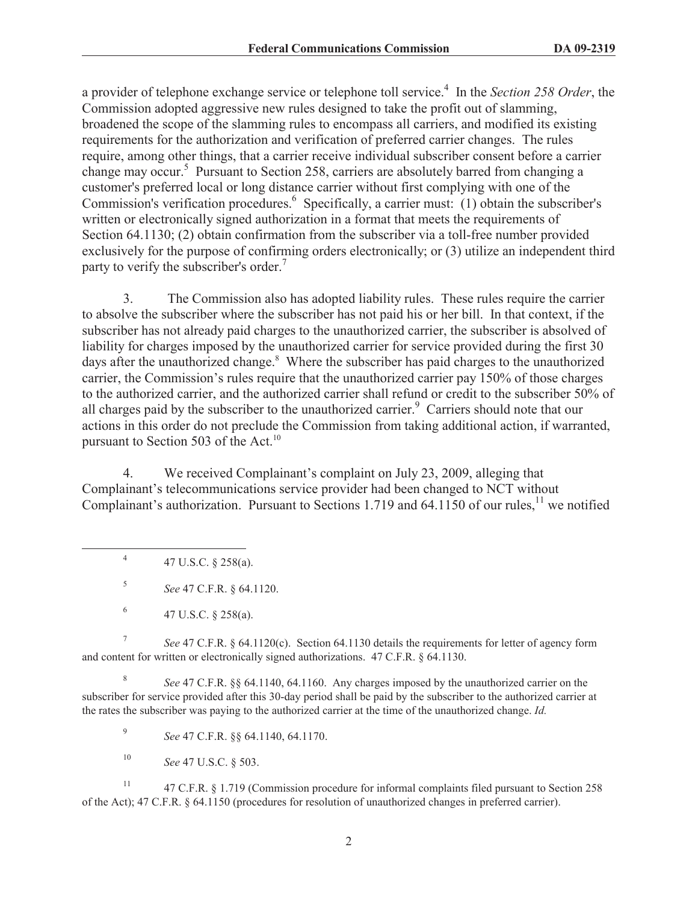a provider of telephone exchange service or telephone toll service.<sup>4</sup> In the *Section 258 Order*, the Commission adopted aggressive new rules designed to take the profit out of slamming, broadened the scope of the slamming rules to encompass all carriers, and modified its existing requirements for the authorization and verification of preferred carrier changes. The rules require, among other things, that a carrier receive individual subscriber consent before a carrier change may occur.<sup>5</sup> Pursuant to Section 258, carriers are absolutely barred from changing a customer's preferred local or long distance carrier without first complying with one of the Commission's verification procedures.<sup>6</sup> Specifically, a carrier must: (1) obtain the subscriber's written or electronically signed authorization in a format that meets the requirements of Section 64.1130; (2) obtain confirmation from the subscriber via a toll-free number provided exclusively for the purpose of confirming orders electronically; or (3) utilize an independent third party to verify the subscriber's order.<sup>7</sup>

3. The Commission also has adopted liability rules. These rules require the carrier to absolve the subscriber where the subscriber has not paid his or her bill. In that context, if the subscriber has not already paid charges to the unauthorized carrier, the subscriber is absolved of liability for charges imposed by the unauthorized carrier for service provided during the first 30 days after the unauthorized change.<sup>8</sup> Where the subscriber has paid charges to the unauthorized carrier, the Commission's rules require that the unauthorized carrier pay 150% of those charges to the authorized carrier, and the authorized carrier shall refund or credit to the subscriber 50% of all charges paid by the subscriber to the unauthorized carrier.<sup>9</sup> Carriers should note that our actions in this order do not preclude the Commission from taking additional action, if warranted, pursuant to Section 503 of the Act. $^{10}$ 

4. We received Complainant's complaint on July 23, 2009, alleging that Complainant's telecommunications service provider had been changed to NCT without Complainant's authorization. Pursuant to Sections 1.719 and 64.1150 of our rules,<sup>11</sup> we notified

4 47 U.S.C. § 258(a).

5 *See* 47 C.F.R. § 64.1120.

7 *See* 47 C.F.R. § 64.1120(c). Section 64.1130 details the requirements for letter of agency form and content for written or electronically signed authorizations. 47 C.F.R. § 64.1130.

8 *See* 47 C.F.R. §§ 64.1140, 64.1160. Any charges imposed by the unauthorized carrier on the subscriber for service provided after this 30-day period shall be paid by the subscriber to the authorized carrier at the rates the subscriber was paying to the authorized carrier at the time of the unauthorized change. *Id.*

9 *See* 47 C.F.R. §§ 64.1140, 64.1170.

<sup>10</sup> *See* 47 U.S.C. § 503.

<sup>11</sup> 47 C.F.R. § 1.719 (Commission procedure for informal complaints filed pursuant to Section 258 of the Act); 47 C.F.R. § 64.1150 (procedures for resolution of unauthorized changes in preferred carrier).

<sup>6</sup> 47 U.S.C. § 258(a).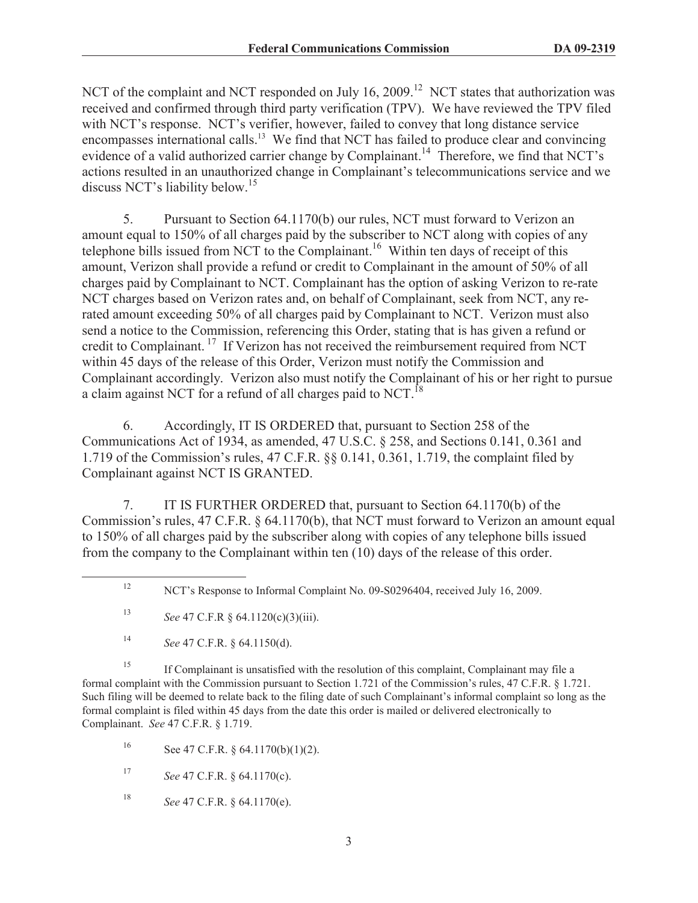NCT of the complaint and NCT responded on July 16, 2009.<sup>12</sup> NCT states that authorization was received and confirmed through third party verification (TPV). We have reviewed the TPV filed with NCT's response. NCT's verifier, however, failed to convey that long distance service encompasses international calls.<sup>13</sup> We find that NCT has failed to produce clear and convincing evidence of a valid authorized carrier change by Complainant.<sup>14</sup> Therefore, we find that NCT's actions resulted in an unauthorized change in Complainant's telecommunications service and we discuss NCT's liability below.<sup>15</sup>

5. Pursuant to Section 64.1170(b) our rules, NCT must forward to Verizon an amount equal to 150% of all charges paid by the subscriber to NCT along with copies of any telephone bills issued from NCT to the Complainant.<sup>16</sup> Within ten days of receipt of this amount, Verizon shall provide a refund or credit to Complainant in the amount of 50% of all charges paid by Complainant to NCT. Complainant has the option of asking Verizon to re-rate NCT charges based on Verizon rates and, on behalf of Complainant, seek from NCT, any rerated amount exceeding 50% of all charges paid by Complainant to NCT. Verizon must also send a notice to the Commission, referencing this Order, stating that is has given a refund or credit to Complainant. <sup>17</sup> If Verizon has not received the reimbursement required from NCT within 45 days of the release of this Order, Verizon must notify the Commission and Complainant accordingly. Verizon also must notify the Complainant of his or her right to pursue a claim against NCT for a refund of all charges paid to NCT.<sup>18</sup>

6. Accordingly, IT IS ORDERED that, pursuant to Section 258 of the Communications Act of 1934, as amended, 47 U.S.C. § 258, and Sections 0.141, 0.361 and 1.719 of the Commission's rules, 47 C.F.R. §§ 0.141, 0.361, 1.719, the complaint filed by Complainant against NCT IS GRANTED.

7. IT IS FURTHER ORDERED that, pursuant to Section 64.1170(b) of the Commission's rules, 47 C.F.R. § 64.1170(b), that NCT must forward to Verizon an amount equal to 150% of all charges paid by the subscriber along with copies of any telephone bills issued from the company to the Complainant within ten (10) days of the release of this order.

<sup>15</sup> If Complainant is unsatisfied with the resolution of this complaint, Complainant may file a formal complaint with the Commission pursuant to Section 1.721 of the Commission's rules, 47 C.F.R. § 1.721. Such filing will be deemed to relate back to the filing date of such Complainant's informal complaint so long as the formal complaint is filed within 45 days from the date this order is mailed or delivered electronically to Complainant. *See* 47 C.F.R. § 1.719.

16 See 47 C.F.R.  $\S$  64.1170(b)(1)(2).

<sup>17</sup> *See* 47 C.F.R. § 64.1170(c).

<sup>18</sup> *See* 47 C.F.R. § 64.1170(e).

<sup>&</sup>lt;sup>12</sup> NCT's Response to Informal Complaint No. 09-S0296404, received July 16, 2009.

<sup>13</sup> *See* 47 C.F.R § 64.1120(c)(3)(iii).

<sup>14</sup> *See* 47 C.F.R. § 64.1150(d).